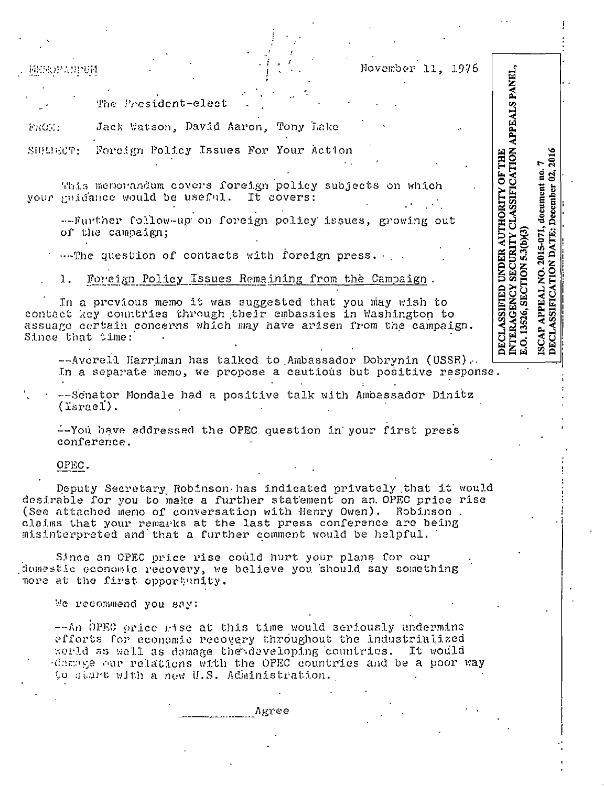| 超短肢的高弱視頻 | November 11, 1976                                                                                                                                                                                                   |
|----------|---------------------------------------------------------------------------------------------------------------------------------------------------------------------------------------------------------------------|
|          | PANEI<br>The President-elect                                                                                                                                                                                        |
| FACTOR   | Jack Watson, David Aaron, Tony Lake                                                                                                                                                                                 |
|          | SHEREOT: Foreign Policy Issues For Your Action<br><b>NOIT</b><br>E                                                                                                                                                  |
|          | this memorandum covers foreign policy subjects on which<br>your guidance would be useful. It covers:                                                                                                                |
|          | --Further follow-up on foreign policy issues, growing out<br>of the campaign;                                                                                                                                       |
|          | The question of contacts with foreign press.                                                                                                                                                                        |
| 1.       | Poreign Policy Issues Remaining from the Campaign.                                                                                                                                                                  |
|          | In a provious memo it was suggested that you may wish to<br>contact key countries through their embassies in Washington to<br>assuage certain concerns which may have arisen from the campaign.<br>Since that time: |

--Averell Harriman has talked to Ambassador Dobrynin (USSR). In a separate memo, we propose a cautious but positive response.

--Scnator Mondale had a positive talk with Ambassador Dinitz  $(I<sub>spread</sub>)$ .

--You have addressed the OPEC question in your first press conference.

OPEC.

Deputy Secretary Robinson has indicated privately that it would desirable for you to make a further statement on an OPEC price rise (See attached memo of conversation with Henry Owen). Robinson. claims that your remarks at the last press conference are being misinterpreted and that a further comment would be helpful.

Since an OPEC price rise could hurt your plans for our domestic economic recovery, we believe you should say something nore at the first opportunity.

We recommend you say:

--An OPEC price rise at this time would seriously undermine efforts for economic recovery throughout the industrialized world as well as demage the developing countries. It would change our relations with the OPEC countries and be a poor way to start with a new U.S. Administration.

Agree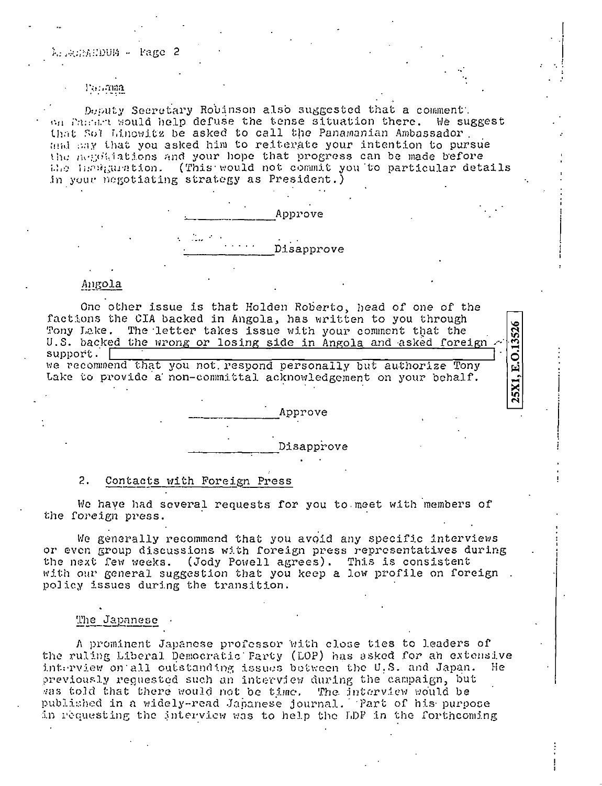#### Parluma

Desuty Secretary Robinson also suggested that a comment. on Parase would help defuse the tense situation there. We suggest that Sof Linowitz be asked to call the Panamanian Ambassador. and any that you asked him to reiterate your intention to pursue the negoliations and your hope that progress can be made before the includention. (This would not commit you to particular details in your negotiating strategy as President.)



# Angola

One other issue is that Holden Roberto, head of one of the factions the CIA backed in Angola, has written to you through 25X1, E.O.13526 The letter takes issue with your comment that the Tony Lake. U.S. backed the wrong or losing side in Angola and asked foreign support. | we recommend that you not respond personally but authorize Tony Lake to provide a non-committal acknowledgement on your behalf.

Disapprove

Approve

#### $2.$ Contacts with Foreign Press

We have had several requests for you to meet with members of the foreign press.

We generally recommend that you avoid any specific interviews or even group discussions with foreign press representatives during the next few weeks. (Jody Powell agrees). This is consistent with our general suggestion that you keep a low profile on foreign. policy issues during the transition.

# The Japanese

A prominent Japanese professor with close ties to leaders of the ruling Liberal Democratic Farty (LOP) has asked for an extensive interview on all outstanding issues between the U.S. and Japan. -Hepreviously reguested such an interview during the campaign, but was told that there would not be time. The interview would be published in a widely-read Japanese journal. Part of his purpose in requesting the interview was to help the LDP in the forthcoming